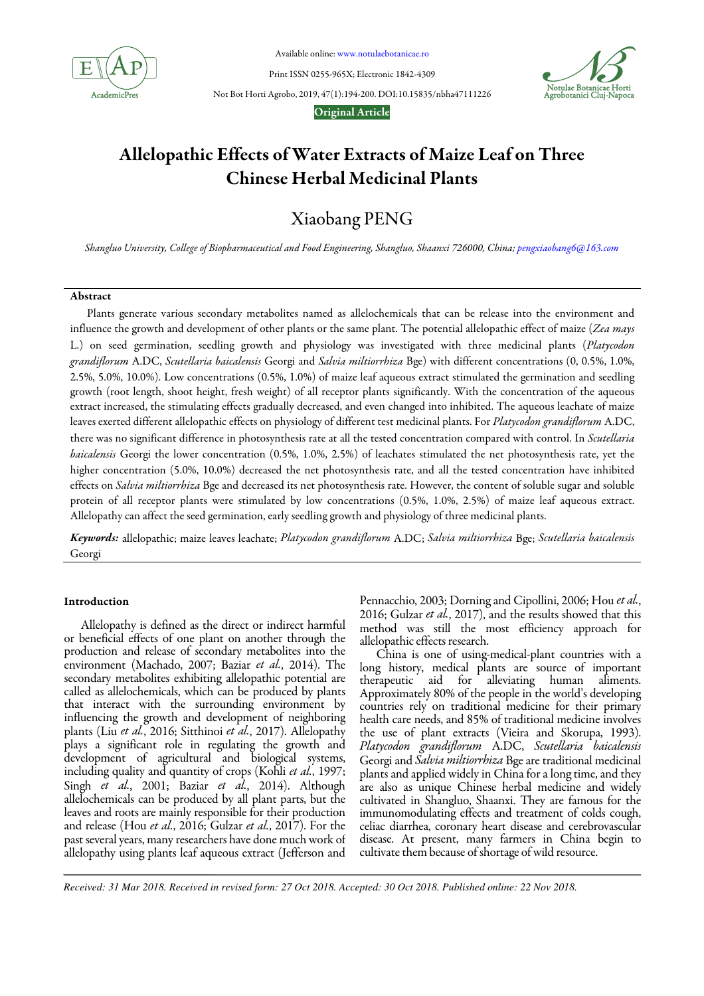

Available online: www.notulaebotanicae.ro

Print ISSN 0255-965X; Electronic 1842-4309



Not Bot Horti Agrobo, 2019, 47(1):194-200. DOI:10.15835/nbha47111226

## Original Article

# Allelopathic Effects of Water Extracts of Maize Leaf on Three Chinese Herbal Medicinal Plants

# Xiaobang PENG

*Shangluo University, College of Biopharmaceutical and Food Engineering, Shangluo, Shaanxi 726000, China; pengxiaobang6@163.com*

# Abstract

Plants generate various secondary metabolites named as allelochemicals that can be release into the environment and influence the growth and development of other plants or the same plant. The potential allelopathic effect of maize (*Zea mays*  L.) on seed germination, seedling growth and physiology was investigated with three medicinal plants (*Platycodon grandiflorum* A.DC, *Scutellaria baicalensis* Georgi and *Salvia miltiorrhiza* Bge) with different concentrations (0, 0.5%, 1.0%, 2.5%, 5.0%, 10.0%). Low concentrations (0.5%, 1.0%) of maize leaf aqueous extract stimulated the germination and seedling growth (root length, shoot height, fresh weight) of all receptor plants significantly. With the concentration of the aqueous extract increased, the stimulating effects gradually decreased, and even changed into inhibited. The aqueous leachate of maize leaves exerted different allelopathic effects on physiology of different test medicinal plants. For *Platycodon grandiflorum* A.DC, there was no significant difference in photosynthesis rate at all the tested concentration compared with control. In *Scutellaria baicalensis* Georgi the lower concentration (0.5%, 1.0%, 2.5%) of leachates stimulated the net photosynthesis rate, yet the higher concentration (5.0%, 10.0%) decreased the net photosynthesis rate, and all the tested concentration have inhibited effects on *Salvia miltiorrhiza* Bge and decreased its net photosynthesis rate. However, the content of soluble sugar and soluble protein of all receptor plants were stimulated by low concentrations (0.5%, 1.0%, 2.5%) of maize leaf aqueous extract. Allelopathy can affect the seed germination, early seedling growth and physiology of three medicinal plants.

Keywords: allelopathic; maize leaves leachate; *Platycodon grandiflorum* A.DC; *Salvia miltiorrhiza* Bge; *Scutellaria baicalensis*  Georgi

# Introduction

Allelopathy is defined as the direct or indirect harmful or beneficial effects of one plant on another through the production and release of secondary metabolites into the environment (Machado, 2007; Baziar *et al.*, 2014). The secondary metabolites exhibiting allelopathic potential are called as allelochemicals, which can be produced by plants that interact with the surrounding environment by influencing the growth and development of neighboring plants (Liu *et al.*, 2016; Sitthinoi *et al.*, 2017). Allelopathy plays a significant role in regulating the growth and development of agricultural and biological systems, including quality and quantity of crops (Kohli *et al.*, 1997; Singh *et al.*, 2001; Baziar *et al.*, 2014). Although allelochemicals can be produced by all plant parts, but the leaves and roots are mainly responsible for their production and release (Hou *et al.*, 2016; Gulzar *et al.*, 2017). For the past several years, many researchers have done much work of allelopathy using plants leaf aqueous extract (Jefferson and

Pennacchio, 2003; Dorning and Cipollini, 2006; Hou *et al.*, 2016; Gulzar *et al.*, 2017), and the results showed that this method was still the most efficiency approach for allelopathic effects research.

China is one of using-medical-plant countries with a long history, medical plants are source of important therapeutic aid for alleviating human aliments. Approximately 80% of the people in the world's developing countries rely on traditional medicine for their primary health care needs, and 85% of traditional medicine involves the use of plant extracts (Vieira and Skorupa, 1993). *Platycodon grandiflorum* A.DC, *Scutellaria baicalensis*  Georgi and *Salvia miltiorrhiza* Bge are traditional medicinal plants and applied widely in China for a long time, and they are also as unique Chinese herbal medicine and widely cultivated in Shangluo, Shaanxi. They are famous for the immunomodulating effects and treatment of colds cough, celiac diarrhea, coronary heart disease and cerebrovascular disease. At present, many farmers in China begin to cultivate them because of shortage of wild resource.

*Received: 31 Mar 2018. Received in revised form: 27 Oct 2018. Accepted: 30 Oct 2018. Published online: 22 Nov 2018.*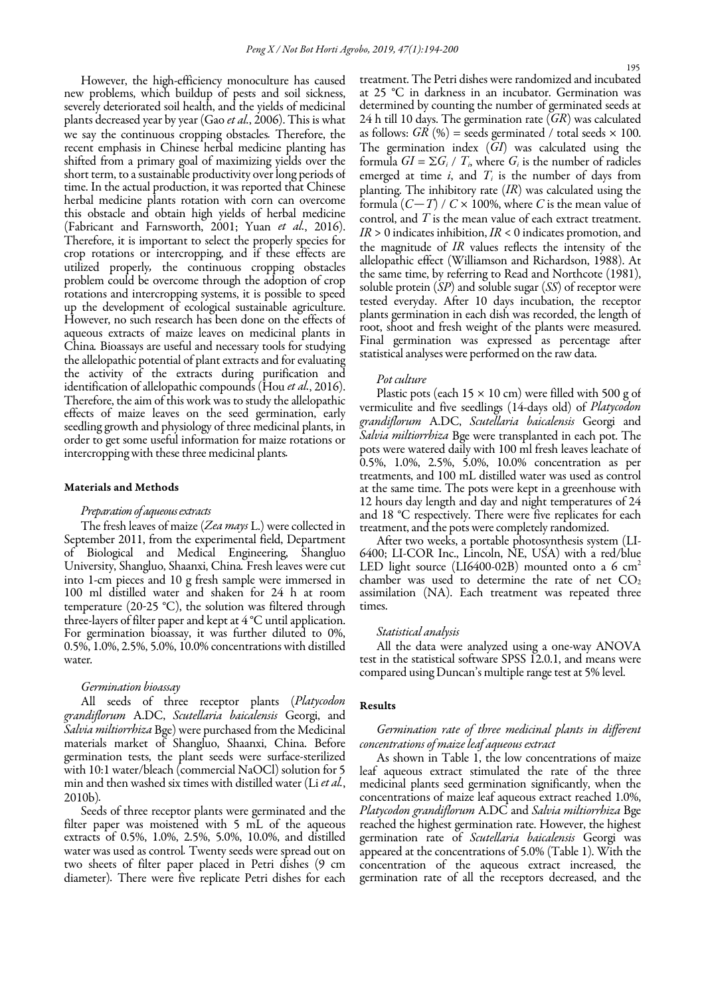However, the high-efficiency monoculture has caused new problems, which buildup of pests and soil sickness, severely deteriorated soil health, and the yields of medicinal plants decreased year by year (Gao *et al.*, 2006). This is what we say the continuous cropping obstacles*.* Therefore, the recent emphasis in Chinese herbal medicine planting has shifted from a primary goal of maximizing yields over the short term, to a sustainable productivity over long periods of time. In the actual production, it was reported that Chinese herbal medicine plants rotation with corn can overcome this obstacle and obtain high yields of herbal medicine (Fabricant and Farnsworth, 2001; Yuan *et al.*, 2016). Therefore, it is important to select the properly species for crop rotations or intercropping, and if these effects are utilized properly*,* the continuous cropping obstacles problem could be overcome through the adoption of crop rotations and intercropping systems, it is possible to speed up the development of ecological sustainable agriculture. However, no such research has been done on the effects of aqueous extracts of maize leaves on medicinal plants in China*.* Bioassays are useful and necessary tools for studying the allelopathic potential of plant extracts and for evaluating the activity of the extracts during purification and identification of allelopathic compounds (Hou *et al.*, 2016). Therefore, the aim of this work was to study the allelopathic effects of maize leaves on the seed germination, early seedling growth and physiology of three medicinal plants, in order to get some useful information for maize rotations or intercropping with these three medicinal plants*.*

### Materials and Methods

## *Preparation of aqueous extracts*

The fresh leaves of maize (*Zea mays* L.) were collected in September 2011, from the experimental field, Department of Biological and Medical Engineering, Shangluo University, Shangluo, Shaanxi, China*.* Fresh leaves were cut into 1-cm pieces and 10 g fresh sample were immersed in 100 ml distilled water and shaken for 24 h at room temperature (20*-*25 °C), the solution was filtered through three-layers of filter paper and kept at 4 °C until application. For germination bioassay, it was further diluted to 0%, 0.5%, 1.0%, 2.5%, 5.0%, 10.0% concentrations with distilled water*.*

## *Germination bioassay*

All seeds of three receptor plants (*Platycodon grandiflorum* A.DC, *Scutellaria baicalensis* Georgi, and *Salvia miltiorrhiza* Bge) were purchased from the Medicinal materials market of Shangluo, Shaanxi, China. Before germination tests, the plant seeds were surface-sterilized with 10:1 water/bleach (commercial NaOCl) solution for 5 min and then washed six times with distilled water (Li *et al.*, 2010b)*.*

Seeds of three receptor plants were germinated and the filter paper was moistened with 5 mL of the aqueous extracts of 0.5%, 1.0%, 2.5%, 5.0%, 10.0%, and distilled water was used as control*.* Twenty seeds were spread out on two sheets of filter paper placed in Petri dishes (9 cm diameter)*.* There were five replicate Petri dishes for each treatment. The Petri dishes were randomized and incubated at 25 °C in darkness in an incubator. Germination was determined by counting the number of germinated seeds at 24 h till 10 days. The germination rate (*GR*) was calculated as follows:  $GR (%)$  = seeds germinated / total seeds  $\times 100$ . The germination index (*GI*) was calculated using the formula  $GI = \sum G_i / T_i$ , where  $G_i$  is the number of radicles emerged at time *i*, and *T<sup>i</sup>* is the number of days from planting. The inhibitory rate (*IR*) was calculated using the formula  $(C-T)$  /  $C \times 100\%$ , where *C* is the mean value of control, and *T* is the mean value of each extract treatment. *IR* > 0 indicates inhibition, *IR* < 0 indicates promotion, and the magnitude of *IR* values reflects the intensity of the allelopathic effect (Williamson and Richardson, 1988). At the same time, by referring to Read and Northcote (1981), soluble protein (*SP*) and soluble sugar (*SS*) of receptor were tested everyday. After 10 days incubation, the receptor plants germination in each dish was recorded, the length of root, shoot and fresh weight of the plants were measured. Final germination was expressed as percentage after statistical analyses were performed on the raw data.

## *Pot culture*

Plastic pots (each  $15 \times 10$  cm) were filled with 500 g of vermiculite and five seedlings (14-days old) of *Platycodon grandiflorum* A.DC, *Scutellaria baicalensis* Georgi and *Salvia miltiorrhiza* Bge were transplanted in each pot. The pots were watered daily with 100 ml fresh leaves leachate of 0.5%, 1.0%, 2.5%, 5.0%, 10.0% concentration as per treatments, and 100 mL distilled water was used as control at the same time. The pots were kept in a greenhouse with 12 hours day length and day and night temperatures of 24 and 18 °C respectively. There were five replicates for each treatment, and the pots were completely randomized.

After two weeks, a portable photosynthesis system (LI-6400; LI-COR Inc., Lincoln, NE, USA) with a red/blue LED light source (LI6400-02B) mounted onto a 6  $cm<sup>2</sup>$ chamber was used to determine the rate of net  $CO<sub>2</sub>$ assimilation (NA). Each treatment was repeated three times.

#### *Statistical analysis*

All the data were analyzed using a one-way ANOVA test in the statistical software SPSS 12.0.1, and means were compared using Duncan's multiple range test at 5% level.

#### Results

# *Germination rate of three medicinal plants in different concentrations of maize leaf aqueous extract*

As shown in Table 1, the low concentrations of maize leaf aqueous extract stimulated the rate of the three medicinal plants seed germination significantly, when the concentrations of maize leaf aqueous extract reached 1.0%, *Platycodon grandiflorum* A.DC and *Salvia miltiorrhiza* Bge reached the highest germination rate. However, the highest germination rate of *Scutellaria baicalensis* Georgi was appeared at the concentrations of 5.0% (Table 1). With the concentration of the aqueous extract increased, the germination rate of all the receptors decreased, and the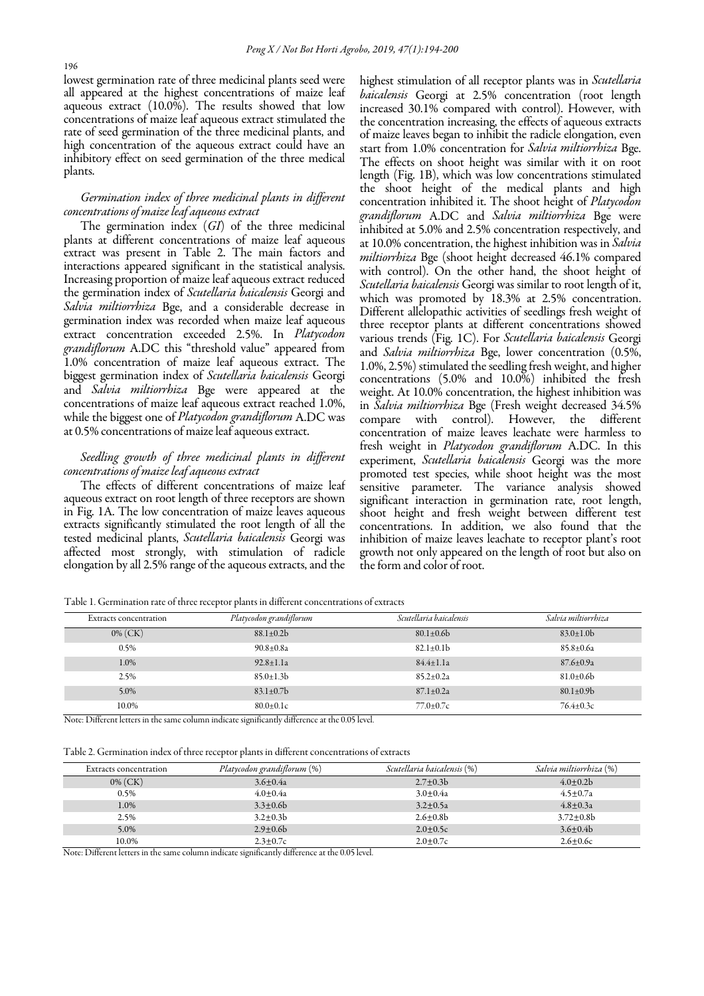lowest germination rate of three medicinal plants seed were all appeared at the highest concentrations of maize leaf aqueous extract (10.0%). The results showed that low concentrations of maize leaf aqueous extract stimulated the rate of seed germination of the three medicinal plants, and high concentration of the aqueous extract could have an inhibitory effect on seed germination of the three medical plants.

# *Germination index of three medicinal plants in different concentrations of maize leaf aqueous extract*

The germination index (*GI*) of the three medicinal plants at different concentrations of maize leaf aqueous extract was present in Table 2. The main factors and interactions appeared significant in the statistical analysis. Increasing proportion of maize leaf aqueous extract reduced the germination index of *Scutellaria baicalensis* Georgi and *Salvia miltiorrhiza* Bge, and a considerable decrease in germination index was recorded when maize leaf aqueous extract concentration exceeded 2.5%. In *Platycodon grandiflorum* A.DC this "threshold value" appeared from 1.0% concentration of maize leaf aqueous extract. The biggest germination index of *Scutellaria baicalensis* Georgi and *Salvia miltiorrhiza* Bge were appeared at the concentrations of maize leaf aqueous extract reached 1.0%, while the biggest one of *Platycodon grandiflorum* A.DC was at 0.5% concentrations of maize leaf aqueous extract.

# *Seedling growth of three medicinal plants in different concentrations of maize leaf aqueous extract*

The effects of different concentrations of maize leaf aqueous extract on root length of three receptors are shown in Fig. 1A. The low concentration of maize leaves aqueous extracts significantly stimulated the root length of all the tested medicinal plants, *Scutellaria baicalensis* Georgi was affected most strongly, with stimulation of radicle elongation by all 2.5% range of the aqueous extracts, and the highest stimulation of all receptor plants was in *Scutellaria baicalensis* Georgi at 2.5% concentration (root length increased 30.1% compared with control). However, with the concentration increasing, the effects of aqueous extracts of maize leaves began to inhibit the radicle elongation, even start from 1.0% concentration for *Salvia miltiorrhiza* Bge. The effects on shoot height was similar with it on root length (Fig. 1B), which was low concentrations stimulated the shoot height of the medical plants and high concentration inhibited it. The shoot height of *Platycodon grandiflorum* A.DC and *Salvia miltiorrhiza* Bge were inhibited at 5.0% and 2.5% concentration respectively, and at 10.0% concentration, the highest inhibition was in *Salvia miltiorrhiza* Bge (shoot height decreased 46.1% compared with control). On the other hand, the shoot height of *Scutellaria baicalensis* Georgi was similar to root length of it, which was promoted by 18.3% at 2.5% concentration. Different allelopathic activities of seedlings fresh weight of three receptor plants at different concentrations showed various trends (Fig. 1C). For *Scutellaria baicalensis* Georgi and *Salvia miltiorrhiza* Bge, lower concentration (0.5%, 1.0%, 2.5%) stimulated the seedling fresh weight, and higher concentrations (5.0% and 10.0%) inhibited the fresh weight. At 10.0% concentration, the highest inhibition was in *Salvia miltiorrhiza* Bge (Fresh weight decreased 34.5% compare with control). However, the different concentration of maize leaves leachate were harmless to fresh weight in *Platycodon grandiflorum* A.DC. In this experiment, *Scutellaria baicalensis* Georgi was the more promoted test species, while shoot height was the most sensitive parameter. The variance analysis showed significant interaction in germination rate, root length, shoot height and fresh weight between different test concentrations. In addition, we also found that the inhibition of maize leaves leachate to receptor plant's root growth not only appeared on the length of root but also on the form and color of root.

Table 1. Germination rate of three receptor plants in different concentrations of extracts

| <b>Extracts concentration</b> | Platycodon grandiflorum | Scutellaria baicalensis | Salvia miltiorrhiza |
|-------------------------------|-------------------------|-------------------------|---------------------|
| $0\%$ (CK)                    | $88.1 \pm 0.2 b$        | $80.1 \pm 0.6$          | $83.0 \pm 1.0$      |
| 0.5%                          | $90.8 \pm 0.8a$         | $82.1 \pm 0.1$          | $85.8 \pm 0.6a$     |
| 1.0%                          | $92.8 \pm 1.1a$         | $84.4 \pm 1.1a$         | $87.6 \pm 0.9a$     |
| 2.5%                          | $85.0 \pm 1.3 b$        | $85.2 \pm 0.2a$         | $81.0 \pm 0.6$      |
| 5.0%                          | $83.1 \pm 0.7$ b        | $87.1 \pm 0.2a$         | $80.1 \pm 0.9$      |
| 10.0%                         | $80.0 \pm 0.1c$         | $77.0 \pm 0.7c$         | $76.4 \pm 0.3c$     |

Note: Different letters in the same column indicate significantly difference at the 0.05 level.

Table 2. Germination index of three receptor plants in different concentrations of extracts

| Extracts concentration | Platycodon grandiflorum (%) | Scutellaria baicalensis (%) | Salvia miltiorrhiza (%) |
|------------------------|-----------------------------|-----------------------------|-------------------------|
| $0\%$ (CK)             | $3.6 + 0.4a$                | $2.7 \pm 0.3 b$             | $4.0 + 0.2b$            |
| 0.5%                   | $4.0 + 0.4a$                | $3.0 + 0.4a$                | $4.5 + 0.7a$            |
| 1.0%                   | $3.3 + 0.6$                 | $3.2 \pm 0.5a$              | $4.8 + 0.3a$            |
| 2.5%                   | $3.2 + 0.3b$                | $2.6 + 0.8$                 | $3.72 + 0.8b$           |
| 5.0%                   | $2.9 + 0.6$                 | $2.0 + 0.5c$                | $3.6 + 0.4b$            |
| 10.0%                  | $2.3 \pm 0.7c$              | $2.0 \pm 0.7c$              | $2.6 + 0.6c$            |

Note: Different letters in the same column indicate significantly difference at the 0.05 level.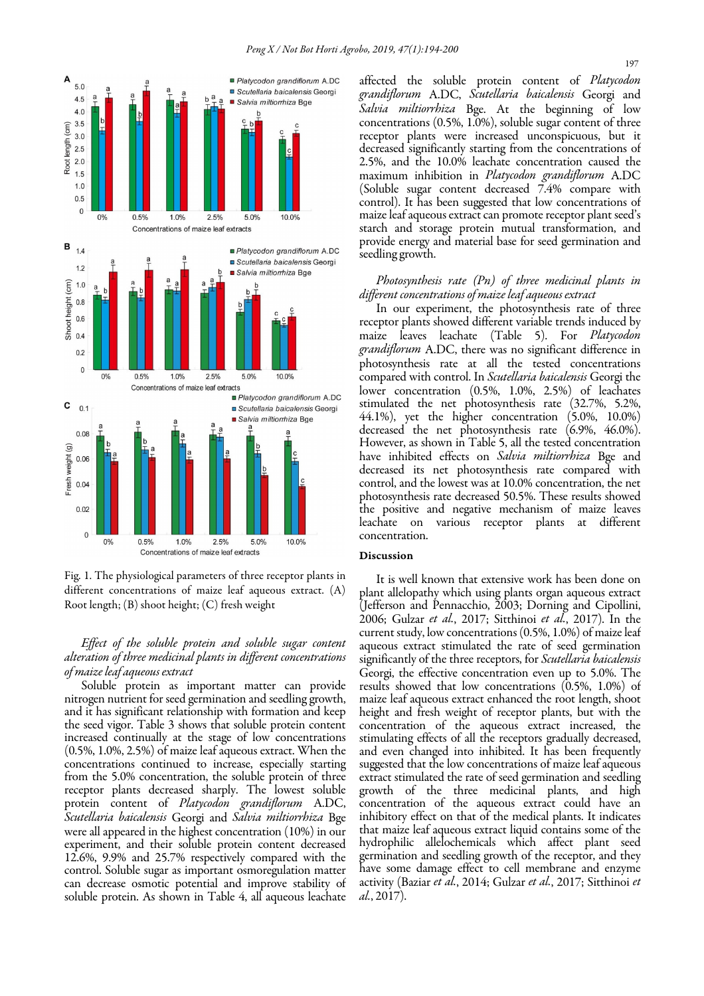

Fig. 1. The physiological parameters of three receptor plants in different concentrations of maize leaf aqueous extract. (A) Root length; (B) shoot height; (C) fresh weight

*Effect of the soluble protein and soluble sugar content alteration of three medicinal plants in different concentrations of maize leaf aqueous extract* 

Soluble protein as important matter can provide nitrogen nutrient for seed germination and seedling growth, and it has significant relationship with formation and keep the seed vigor. Table 3 shows that soluble protein content increased continually at the stage of low concentrations (0.5%, 1.0%, 2.5%) of maize leaf aqueous extract. When the concentrations continued to increase, especially starting from the 5.0% concentration, the soluble protein of three receptor plants decreased sharply. The lowest soluble protein content of *Platycodon grandiflorum* A.DC, *Scutellaria baicalensis* Georgi and *Salvia miltiorrhiza* Bge were all appeared in the highest concentration (10%) in our experiment, and their soluble protein content decreased 12.6%, 9.9% and 25.7% respectively compared with the control. Soluble sugar as important osmoregulation matter can decrease osmotic potential and improve stability of soluble protein. As shown in Table 4, all aqueous leachate affected the soluble protein content of *Platycodon grandiflorum* A.DC, *Scutellaria baicalensis* Georgi and *Salvia miltiorrhiza* Bge. At the beginning of low concentrations (0.5%, 1.0%), soluble sugar content of three receptor plants were increased unconspicuous, but it decreased significantly starting from the concentrations of 2.5%, and the 10.0% leachate concentration caused the maximum inhibition in *Platycodon grandiflorum* A.DC (Soluble sugar content decreased 7.4% compare with control). It has been suggested that low concentrations of maize leaf aqueous extract can promote receptor plant seed's starch and storage protein mutual transformation, and provide energy and material base for seed germination and seedling growth.

# *Photosynthesis rate (Pn) of three medicinal plants in different concentrations of maize leaf aqueous extract*

In our experiment, the photosynthesis rate of three receptor plants showed different variable trends induced by maize leaves leachate (Table 5). For *Platycodon grandiflorum* A.DC, there was no significant difference in photosynthesis rate at all the tested concentrations compared with control. In *Scutellaria baicalensis* Georgi the lower concentration (0.5%, 1.0%, 2.5%) of leachates stimulated the net photosynthesis rate (32.7%, 5.2%, 44.1%), yet the higher concentration (5.0%, 10.0%) decreased the net photosynthesis rate (6.9%, 46.0%). However, as shown in Table 5, all the tested concentration have inhibited effects on *Salvia miltiorrhiza* Bge and decreased its net photosynthesis rate compared with control, and the lowest was at 10.0% concentration, the net photosynthesis rate decreased 50.5%. These results showed the positive and negative mechanism of maize leaves leachate on various receptor plants at different concentration.

#### Discussion

It is well known that extensive work has been done on plant allelopathy which using plants organ aqueous extract (Jefferson and Pennacchio, 2003; Dorning and Cipollini, 2006; Gulzar *et al.*, 2017; Sitthinoi *et al.*, 2017). In the current study, low concentrations (0.5%, 1.0%) of maize leaf aqueous extract stimulated the rate of seed germination significantly of the three receptors, for *Scutellaria baicalensis*  Georgi, the effective concentration even up to 5.0%. The results showed that low concentrations (0.5%, 1.0%) of maize leaf aqueous extract enhanced the root length, shoot height and fresh weight of receptor plants, but with the concentration of the aqueous extract increased, the stimulating effects of all the receptors gradually decreased, and even changed into inhibited. It has been frequently suggested that the low concentrations of maize leaf aqueous extract stimulated the rate of seed germination and seedling growth of the three medicinal plants, and high concentration of the aqueous extract could have an inhibitory effect on that of the medical plants. It indicates that maize leaf aqueous extract liquid contains some of the hydrophilic allelochemicals which affect plant seed germination and seedling growth of the receptor, and they have some damage effect to cell membrane and enzyme activity (Baziar *et al.*, 2014; Gulzar *et al.*, 2017; Sitthinoi *et al.*, 2017).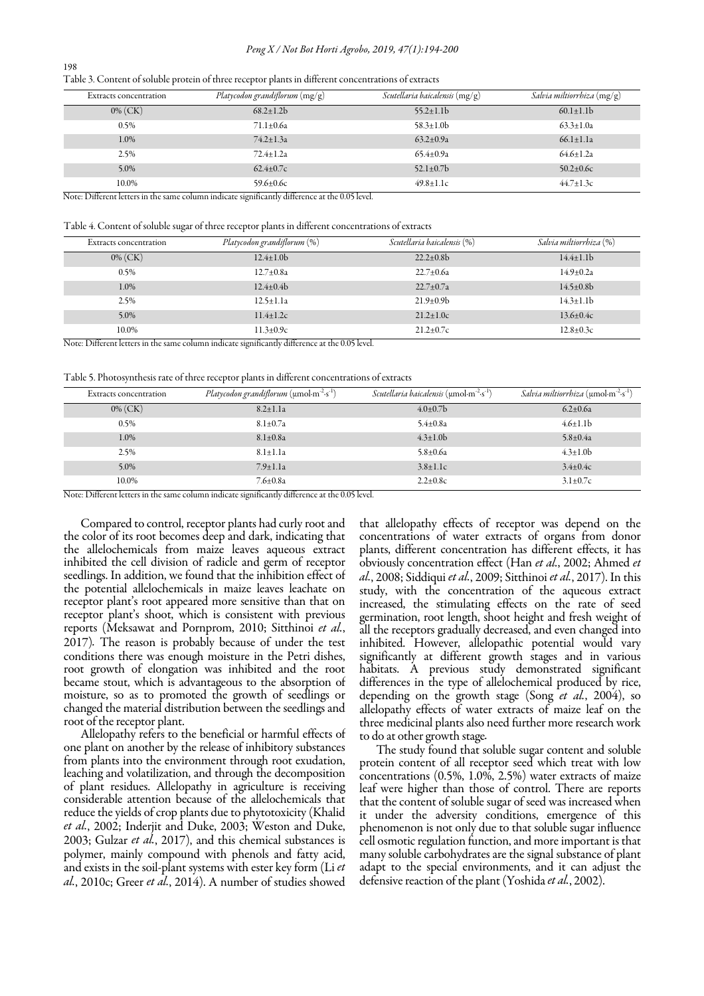#### *Peng X / Not Bot Horti Agrobo, 2019, 47(1):194-200*

| Table 3. Content of soluble protein of three receptor plants in different concentrations of extracts |  |  |  |
|------------------------------------------------------------------------------------------------------|--|--|--|
|------------------------------------------------------------------------------------------------------|--|--|--|

| <b>Extracts concentration</b> | Platycodon grandiflorum $(mg/g)$ | Scutellaria baicalensis $(mg/g)$ | Salvia miltiorrhiza $(mg/g)$ |
|-------------------------------|----------------------------------|----------------------------------|------------------------------|
| $0\%$ (CK)                    | $68.2 \pm 1.2 b$                 | $55.2 \pm 1.1$                   | $60.1 \pm 1.1$               |
| 0.5%                          | $71.1 \pm 0.6a$                  | $58.3 \pm 1.0$ b                 | $63.3 \pm 1.0a$              |
| 1.0%                          | $74.2 \pm 1.3a$                  | $63.2 \pm 0.9a$                  | $66.1 \pm 1.1a$              |
| 2.5%                          | $72.4 \pm 1.2a$                  | $65.4 \pm 0.9a$                  | $64.6 \pm 1.2a$              |
| $5.0\%$                       | $62.4 \pm 0.7c$                  | 52.1 $\pm$ 0.7b                  | $50.2 \pm 0.6c$              |
| 10.0%<br>- -<br>---           | 59.6 $\pm 0.6c$<br>$\sim$ $\sim$ | $49.8 \pm 1.1c$                  | $44.7 \pm 1.3c$              |

Note: Different letters in the same column indicate significantly difference at the 0.05 level.

Table 4. Content of soluble sugar of three receptor plants in different concentrations of extracts

| <b>Extracts concentration</b>     | Platycodon grandiflorum (%) | Scutellaria baicalensis (%) | Salvia miltiorrhiza (%) |
|-----------------------------------|-----------------------------|-----------------------------|-------------------------|
| $0\%$ (CK)                        | $12.4 \pm 1.0$              | $22.2 \pm 0.8$              | $14.4 \pm 1.1$          |
| $0.5\%$                           | $12.7 \pm 0.8a$             | $22.7 \pm 0.6a$             | $14.9 \pm 0.2a$         |
| 1.0%                              | $12.4 \pm 0.4$              | $22.7 \pm 0.7a$             | $14.5 \pm 0.8$ b        |
| 2.5%                              | $12.5 \pm 1.1a$             | $21.9 \pm 0.9$              | $14.3 \pm 1.1$ b        |
| 5.0%                              | $11.4 \pm 1.2c$             | $21.2 \pm 1.0c$             | $13.6 \pm 0.4c$         |
| 10.0%<br>$\overline{\phantom{a}}$ | $11.3 \pm 0.9c$             | $21.2 \pm 0.7c$             | $12.8 \pm 0.3c$         |

Note: Different letters in the same column indicate significantly difference at the 0.05 level.

Table 5. Photosynthesis rate of three receptor plants in different concentrations of extracts

| <b>Extracts concentration</b> | <i>Platycodon grandiflorum</i> ( $\mu$ mol·m <sup>-2</sup> ·s <sup>-1</sup> ) | <i>Scutellaria baicalensis</i> (umol·m <sup>-2</sup> ·s <sup>-1</sup> ) | <i>Salvia miltiorrhiza</i> (µmol·m <sup>-2</sup> ·s <sup>-1</sup> ) |
|-------------------------------|-------------------------------------------------------------------------------|-------------------------------------------------------------------------|---------------------------------------------------------------------|
| $0\%$ (CK)                    | $8.2 \pm 1.1a$                                                                | $4.0 \pm 0.7$ b                                                         | $6.2 \pm 0.6a$                                                      |
| 0.5%                          | $8.1 \pm 0.7a$                                                                | $5.4 \pm 0.8a$                                                          | $4.6 \pm 1.1$ b                                                     |
| 1.0%                          | $8.1 \pm 0.8a$                                                                | $4.3 \pm 1.0$ b                                                         | $5.8 \pm 0.4a$                                                      |
| 2.5%                          | $8.1 \pm 1.1a$                                                                | $5.8 \pm 0.6a$                                                          | $4.3 \pm 1.0$ b                                                     |
| 5.0%                          | $7.9 \pm 1.1a$                                                                | $3.8 \pm 1.1c$                                                          | $3.4 \pm 0.4c$                                                      |
| 10.0%                         | $7.6 \pm 0.8a$                                                                | $2.2 \pm 0.8c$                                                          | $3.1 \pm 0.7c$                                                      |

Note: Different letters in the same column indicate significantly difference at the 0.05 level.

 receptor plant's root appeared more sensitive than that on Compared to control, receptor plants had curly root and the color of its root becomes deep and dark, indicating that the allelochemicals from maize leaves aqueous extract inhibited the cell division of radicle and germ of receptor seedlings. In addition, we found that the inhibition effect of the potential allelochemicals in maize leaves leachate on receptor plant's shoot, which is consistent with previous reports (Meksawat and Pornprom, 2010; Sitthinoi *et al.*, 2017)*.* The reason is probably because of under the test conditions there was enough moisture in the Petri dishes, root growth of elongation was inhibited and the root became stout, which is advantageous to the absorption of moisture, so as to promoted the growth of seedlings or changed the material distribution between the seedlings and root of the receptor plant.

Allelopathy refers to the beneficial or harmful effects of one plant on another by the release of inhibitory substances from plants into the environment through root exudation, leaching and volatilization, and through the decomposition of plant residues. Allelopathy in agriculture is receiving considerable attention because of the allelochemicals that reduce the yields of crop plants due to phytotoxicity (Khalid *et al.*, 2002; Inderjit and Duke, 2003; Weston and Duke, 2003; Gulzar *et al.*, 2017), and this chemical substances is polymer, mainly compound with phenols and fatty acid, and exists in the soil-plant systems with ester key form (Li *et al.*, 2010c; Greer *et al.*, 2014). A number of studies showed

that allelopathy effects of receptor was depend on the concentrations of water extracts of organs from donor plants, different concentration has different effects, it has obviously concentration effect (Han *et al.*, 2002; Ahmed *et al.*, 2008; Siddiqui *et al.*, 2009; Sitthinoi *et al.*, 2017). In this study, with the concentration of the aqueous extract increased, the stimulating effects on the rate of seed germination, root length, shoot height and fresh weight of all the receptors gradually decreased, and even changed into inhibited. However, allelopathic potential would vary significantly at different growth stages and in various habitats. A previous study demonstrated significant differences in the type of allelochemical produced by rice, depending on the growth stage (Song *et al.*, 2004), so allelopathy effects of water extracts of maize leaf on the three medicinal plants also need further more research work to do at other growth stage*.*

The study found that soluble sugar content and soluble protein content of all receptor seed which treat with low concentrations (0.5%, 1.0%, 2.5%) water extracts of maize leaf were higher than those of control. There are reports that the content of soluble sugar of seed was increased when it under the adversity conditions, emergence of this phenomenon is not only due to that soluble sugar influence cell osmotic regulation function, and more important is that many soluble carbohydrates are the signal substance of plant adapt to the special environments, and it can adjust the defensive reaction of the plant (Yoshida *et al.*, 2002).

198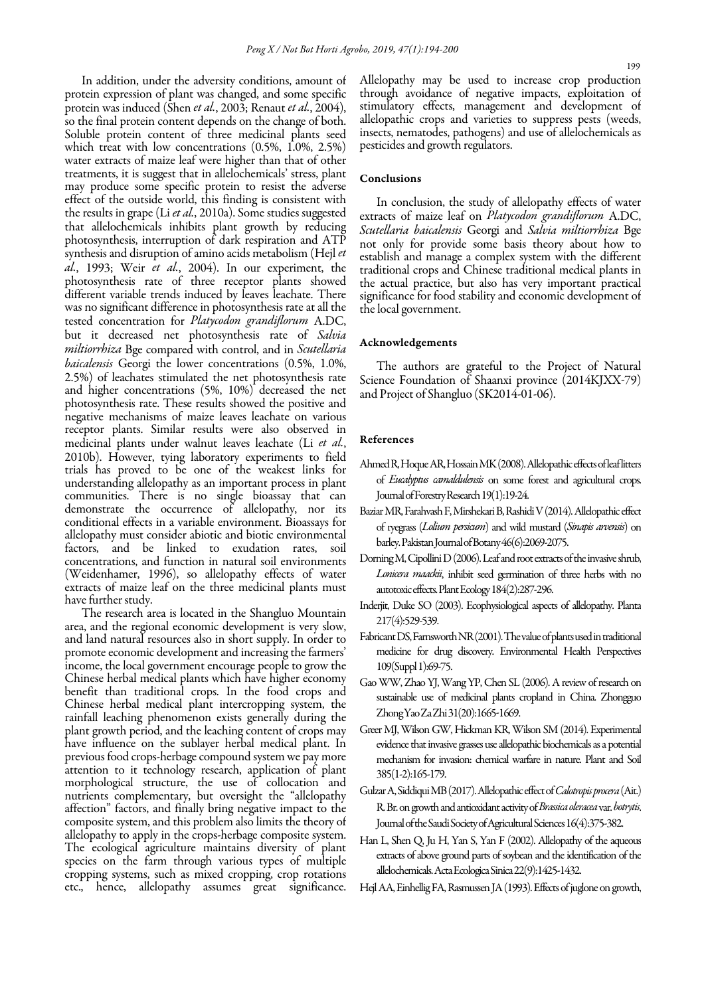In addition, under the adversity conditions, amount of protein expression of plant was changed, and some specific protein was induced (Shen *et al.*, 2003; Renaut *et al.*, 2004), so the final protein content depends on the change of both. Soluble protein content of three medicinal plants seed which treat with low concentrations (0.5%, 1.0%, 2.5%) water extracts of maize leaf were higher than that of other treatments, it is suggest that in allelochemicals' stress, plant may produce some specific protein to resist the adverse effect of the outside world, this finding is consistent with the results in grape (Li *et al.*, 2010a). Some studies suggested that allelochemicals inhibits plant growth by reducing photosynthesis, interruption of dark respiration and ATP synthesis and disruption of amino acids metabolism (Hejl *et al.*, 1993; Weir *et al.*, 2004). In our experiment, the photosynthesis rate of three receptor plants showed different variable trends induced by leaves leachate. There was no significant difference in photosynthesis rate at all the tested concentration for *Platycodon grandiflorum* A.DC, but it decreased net photosynthesis rate of *Salvia miltiorrhiza* Bge compared with control, and in *Scutellaria baicalensis* Georgi the lower concentrations (0.5%, 1.0%, 2.5%) of leachates stimulated the net photosynthesis rate and higher concentrations (5%, 10%) decreased the net photosynthesis rate. These results showed the positive and negative mechanisms of maize leaves leachate on various receptor plants. Similar results were also observed in medicinal plants under walnut leaves leachate (Li *et al.*, 2010b). However, tying laboratory experiments to field trials has proved to be one of the weakest links for understanding allelopathy as an important process in plant communities. There is no single bioassay that can demonstrate the occurrence of allelopathy, nor its conditional effects in a variable environment. Bioassays for allelopathy must consider abiotic and biotic environmental factors, and be linked to exudation rates, soil concentrations, and function in natural soil environments (Weidenhamer, 1996), so allelopathy effects of water extracts of maize leaf on the three medicinal plants must have further study.

The research area is located in the Shangluo Mountain area, and the regional economic development is very slow, and land natural resources also in short supply. In order to promote economic development and increasing the farmers' income, the local government encourage people to grow the Chinese herbal medical plants which have higher economy benefit than traditional crops. In the food crops and Chinese herbal medical plant intercropping system, the rainfall leaching phenomenon exists generally during the plant growth period, and the leaching content of crops may have influence on the sublayer herbal medical plant. In previous food crops-herbage compound system we pay more attention to it technology research, application of plant morphological structure, the use of collocation and nutrients complementary, but oversight the "allelopathy affection" factors, and finally bring negative impact to the composite system, and this problem also limits the theory of allelopathy to apply in the crops-herbage composite system. The ecological agriculture maintains diversity of plant species on the farm through various types of multiple cropping systems, such as mixed cropping, crop rotations etc., hence, allelopathy assumes great significance.

Allelopathy may be used to increase crop production through avoidance of negative impacts, exploitation of stimulatory effects, management and development of allelopathic crops and varieties to suppress pests (weeds, insects, nematodes, pathogens) and use of allelochemicals as pesticides and growth regulators.

## Conclusions

In conclusion, the study of allelopathy effects of water extracts of maize leaf on *Platycodon grandiflorum* A.DC, *Scutellaria baicalensis* Georgi and *Salvia miltiorrhiza* Bge not only for provide some basis theory about how to establish and manage a complex system with the different traditional crops and Chinese traditional medical plants in the actual practice, but also has very important practical significance for food stability and economic development of the local government.

#### Acknowledgements

The authors are grateful to the Project of Natural Science Foundation of Shaanxi province (2014KJXX*-*79) and Project of Shangluo (SK2014-01*-*06).

#### References

- Ahmed R, Hoque AR, Hossain MK (2008). Allelopathic effects of leaf litters of *Eucalyptus camaldulensis* on some forest and agricultural crops. Journal of Forestry Research 19(1):19-24.
- Baziar MR, Farahvash F, Mirshekari B, Rashidi V (2014). Allelopathic effect of ryegrass (*Lolium persicum*) and wild mustard (*Sinapis arvensis*) on barley. Pakistan Journal of Botany 46(6):2069-2075.
- Dorning M, Cipollini D (2006). Leaf and root extracts of the invasive shrub, *Lonicera maackii*, inhibit seed germination of three herbs with no autotoxic effects. Plant Ecology 184(2):287-296.
- Inderjit, Duke SO (2003). Ecophysiological aspects of allelopathy. Planta 217(4):529-539.
- Fabricant DS, Farnsworth NR (2001). The value of plants used in traditional medicine for drug discovery. Environmental Health Perspectives 109(Suppl 1):69-75.
- Gao WW, Zhao YJ, Wang YP, Chen SL (2006). A review of research on sustainable use of medicinal plants cropland in China. Zhongguo Zhong Yao Za Zhi 31(20):1665*-*1669.
- Greer MJ, Wilson GW, Hickman KR, Wilson SM (2014). Experimental evidence that invasive grasses use allelopathic biochemicals as a potential mechanism for invasion: chemical warfare in nature. Plant and Soil 385(1-2):165-179.
- Gulzar A, Siddiqui MB (2017). Allelopathic effect of *Calotropis procera* (Ait.) R. Br. on growth and antioxidant activity of *Brassica oleracea* var. *botrytis*. Journal of the Saudi Society of Agricultural Sciences 16(4):375*-*382.
- Han L, Shen Q, Ju H, Yan S, Yan F (2002). Allelopathy of the aqueous extracts of above ground parts of soybean and the identification of the allelochemicals.Acta Ecologica Sinica 22(9):1425*-*1432.
- Hejl AA, Einhellig FA, Rasmussen JA (1993). Effects of juglone on growth,